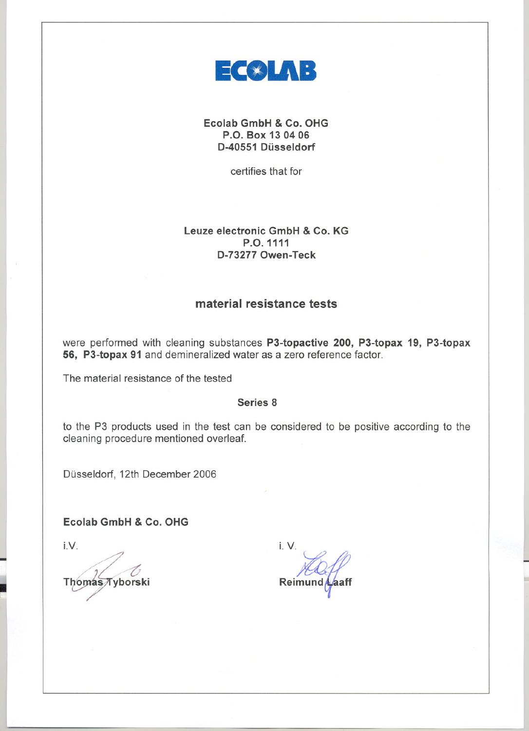

Ecolab GmbH & Co. OHG P.O. Box 13 0406 D-40551 Düsseldorf

certifies that for

# Leuze electronic GmbH & Co. KG P.O.1111 D-732770wen-Teck

# material resistance tests

were performed with cleaning substances P3-topactive 200, P3-topax 19, P3-topax 56, P3-topax 91 and demineralized water as a zero reference factor.

The material resistance of the tested

# Series 8

to the P3 products used in the test can be considered to be positive according to the cleaning procedure mentioned overleaf.

Düsseldorf, 12th December 2006

Ecolab GmbH & Co. OHG

 $i.V.$ 

J

~

**Thomas Tyborski** 

i. v. Reimun

L.